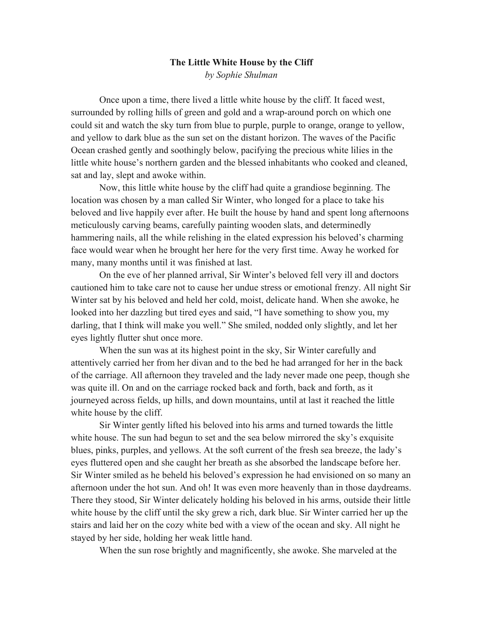## **The Little White House by the Cliff** *by Sophie Shulman*

Once upon a time, there lived a little white house by the cliff. It faced west, surrounded by rolling hills of green and gold and a wrap-around porch on which one could sit and watch the sky turn from blue to purple, purple to orange, orange to yellow, and yellow to dark blue as the sun set on the distant horizon. The waves of the Pacific Ocean crashed gently and soothingly below, pacifying the precious white lilies in the little white house's northern garden and the blessed inhabitants who cooked and cleaned, sat and lay, slept and awoke within.

 Now, this little white house by the cliff had quite a grandiose beginning. The location was chosen by a man called Sir Winter, who longed for a place to take his beloved and live happily ever after. He built the house by hand and spent long afternoons meticulously carving beams, carefully painting wooden slats, and determinedly hammering nails, all the while relishing in the elated expression his beloved's charming face would wear when he brought her here for the very first time. Away he worked for many, many months until it was finished at last.

 On the eve of her planned arrival, Sir Winter's beloved fell very ill and doctors cautioned him to take care not to cause her undue stress or emotional frenzy. All night Sir Winter sat by his beloved and held her cold, moist, delicate hand. When she awoke, he looked into her dazzling but tired eyes and said, "I have something to show you, my darling, that I think will make you well." She smiled, nodded only slightly, and let her eyes lightly flutter shut once more.

 When the sun was at its highest point in the sky, Sir Winter carefully and attentively carried her from her divan and to the bed he had arranged for her in the back of the carriage. All afternoon they traveled and the lady never made one peep, though she was quite ill. On and on the carriage rocked back and forth, back and forth, as it journeyed across fields, up hills, and down mountains, until at last it reached the little white house by the cliff.

 Sir Winter gently lifted his beloved into his arms and turned towards the little white house. The sun had begun to set and the sea below mirrored the sky's exquisite blues, pinks, purples, and yellows. At the soft current of the fresh sea breeze, the lady's eyes fluttered open and she caught her breath as she absorbed the landscape before her. Sir Winter smiled as he beheld his beloved's expression he had envisioned on so many an afternoon under the hot sun. And oh! It was even more heavenly than in those daydreams. There they stood, Sir Winter delicately holding his beloved in his arms, outside their little white house by the cliff until the sky grew a rich, dark blue. Sir Winter carried her up the stairs and laid her on the cozy white bed with a view of the ocean and sky. All night he stayed by her side, holding her weak little hand.

When the sun rose brightly and magnificently, she awoke. She marveled at the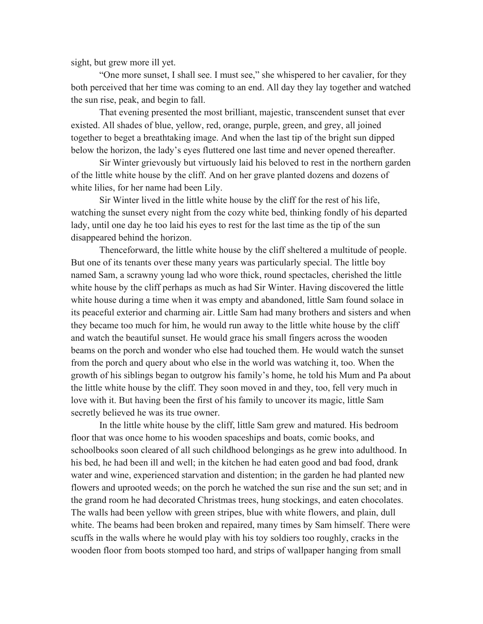sight, but grew more ill yet.

 "One more sunset, I shall see. I must see," she whispered to her cavalier, for they both perceived that her time was coming to an end. All day they lay together and watched the sun rise, peak, and begin to fall.

 That evening presented the most brilliant, majestic, transcendent sunset that ever existed. All shades of blue, yellow, red, orange, purple, green, and grey, all joined together to beget a breathtaking image. And when the last tip of the bright sun dipped below the horizon, the lady's eyes fluttered one last time and never opened thereafter.

 Sir Winter grievously but virtuously laid his beloved to rest in the northern garden of the little white house by the cliff. And on her grave planted dozens and dozens of white lilies, for her name had been Lily.

 Sir Winter lived in the little white house by the cliff for the rest of his life, watching the sunset every night from the cozy white bed, thinking fondly of his departed lady, until one day he too laid his eyes to rest for the last time as the tip of the sun disappeared behind the horizon.

 Thenceforward, the little white house by the cliff sheltered a multitude of people. But one of its tenants over these many years was particularly special. The little boy named Sam, a scrawny young lad who wore thick, round spectacles, cherished the little white house by the cliff perhaps as much as had Sir Winter. Having discovered the little white house during a time when it was empty and abandoned, little Sam found solace in its peaceful exterior and charming air. Little Sam had many brothers and sisters and when they became too much for him, he would run away to the little white house by the cliff and watch the beautiful sunset. He would grace his small fingers across the wooden beams on the porch and wonder who else had touched them. He would watch the sunset from the porch and query about who else in the world was watching it, too. When the growth of his siblings began to outgrow his family's home, he told his Mum and Pa about the little white house by the cliff. They soon moved in and they, too, fell very much in love with it. But having been the first of his family to uncover its magic, little Sam secretly believed he was its true owner.

 In the little white house by the cliff, little Sam grew and matured. His bedroom floor that was once home to his wooden spaceships and boats, comic books, and schoolbooks soon cleared of all such childhood belongings as he grew into adulthood. In his bed, he had been ill and well; in the kitchen he had eaten good and bad food, drank water and wine, experienced starvation and distention; in the garden he had planted new flowers and uprooted weeds; on the porch he watched the sun rise and the sun set; and in the grand room he had decorated Christmas trees, hung stockings, and eaten chocolates. The walls had been yellow with green stripes, blue with white flowers, and plain, dull white. The beams had been broken and repaired, many times by Sam himself. There were scuffs in the walls where he would play with his toy soldiers too roughly, cracks in the wooden floor from boots stomped too hard, and strips of wallpaper hanging from small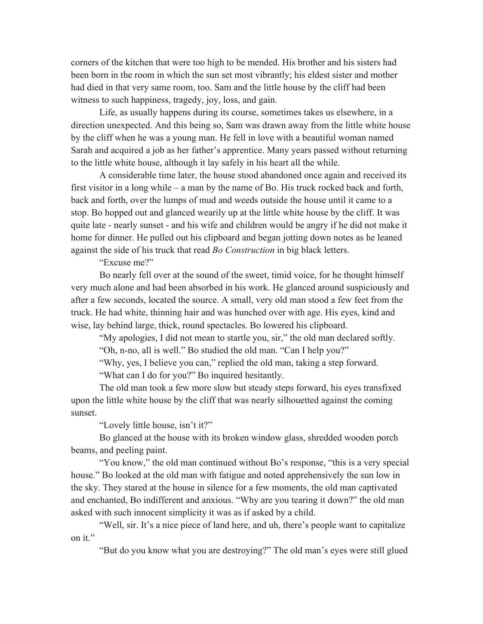corners of the kitchen that were too high to be mended. His brother and his sisters had been born in the room in which the sun set most vibrantly; his eldest sister and mother had died in that very same room, too. Sam and the little house by the cliff had been witness to such happiness, tragedy, joy, loss, and gain.

 Life, as usually happens during its course, sometimes takes us elsewhere, in a direction unexpected. And this being so, Sam was drawn away from the little white house by the cliff when he was a young man. He fell in love with a beautiful woman named Sarah and acquired a job as her father's apprentice. Many years passed without returning to the little white house, although it lay safely in his heart all the while.

 A considerable time later, the house stood abandoned once again and received its first visitor in a long while – a man by the name of Bo. His truck rocked back and forth, back and forth, over the lumps of mud and weeds outside the house until it came to a stop. Bo hopped out and glanced wearily up at the little white house by the cliff. It was quite late - nearly sunset - and his wife and children would be angry if he did not make it home for dinner. He pulled out his clipboard and began jotting down notes as he leaned against the side of his truck that read *Bo Construction* in big black letters.

"Excuse me?"

 Bo nearly fell over at the sound of the sweet, timid voice, for he thought himself very much alone and had been absorbed in his work. He glanced around suspiciously and after a few seconds, located the source. A small, very old man stood a few feet from the truck. He had white, thinning hair and was hunched over with age. His eyes, kind and wise, lay behind large, thick, round spectacles. Bo lowered his clipboard.

"My apologies, I did not mean to startle you, sir," the old man declared softly.

"Oh, n-no, all is well." Bo studied the old man. "Can I help you?"

"Why, yes, I believe you can," replied the old man, taking a step forward.

"What can I do for you?" Bo inquired hesitantly.

 The old man took a few more slow but steady steps forward, his eyes transfixed upon the little white house by the cliff that was nearly silhouetted against the coming sunset.

"Lovely little house, isn't it?"

 Bo glanced at the house with its broken window glass, shredded wooden porch beams, and peeling paint.

"You know," the old man continued without Bo's response, "this is a very special house." Bo looked at the old man with fatigue and noted apprehensively the sun low in the sky. They stared at the house in silence for a few moments, the old man captivated and enchanted, Bo indifferent and anxious. "Why are you tearing it down?" the old man asked with such innocent simplicity it was as if asked by a child.

 "Well, sir. It's a nice piece of land here, and uh, there's people want to capitalize on it."

"But do you know what you are destroying?" The old man's eyes were still glued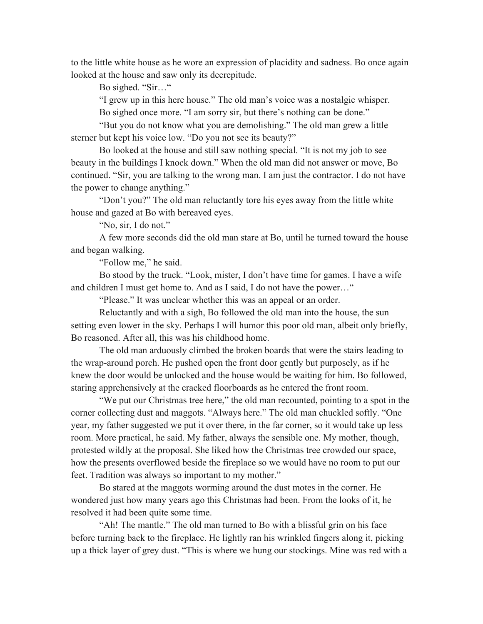to the little white house as he wore an expression of placidity and sadness. Bo once again looked at the house and saw only its decrepitude.

Bo sighed. "Sir…"

"I grew up in this here house." The old man's voice was a nostalgic whisper.

Bo sighed once more. "I am sorry sir, but there's nothing can be done."

 "But you do not know what you are demolishing." The old man grew a little sterner but kept his voice low. "Do you not see its beauty?"

 Bo looked at the house and still saw nothing special. "It is not my job to see beauty in the buildings I knock down." When the old man did not answer or move, Bo continued. "Sir, you are talking to the wrong man. I am just the contractor. I do not have the power to change anything."

 "Don't you?" The old man reluctantly tore his eyes away from the little white house and gazed at Bo with bereaved eyes.

"No, sir, I do not."

 A few more seconds did the old man stare at Bo, until he turned toward the house and began walking.

"Follow me," he said.

 Bo stood by the truck. "Look, mister, I don't have time for games. I have a wife and children I must get home to. And as I said, I do not have the power…"

"Please." It was unclear whether this was an appeal or an order.

 Reluctantly and with a sigh, Bo followed the old man into the house, the sun setting even lower in the sky. Perhaps I will humor this poor old man, albeit only briefly, Bo reasoned. After all, this was his childhood home.

 The old man arduously climbed the broken boards that were the stairs leading to the wrap-around porch. He pushed open the front door gently but purposely, as if he knew the door would be unlocked and the house would be waiting for him. Bo followed, staring apprehensively at the cracked floorboards as he entered the front room.

 "We put our Christmas tree here," the old man recounted, pointing to a spot in the corner collecting dust and maggots. "Always here." The old man chuckled softly. "One year, my father suggested we put it over there, in the far corner, so it would take up less room. More practical, he said. My father, always the sensible one. My mother, though, protested wildly at the proposal. She liked how the Christmas tree crowded our space, how the presents overflowed beside the fireplace so we would have no room to put our feet. Tradition was always so important to my mother."

 Bo stared at the maggots worming around the dust motes in the corner. He wondered just how many years ago this Christmas had been. From the looks of it, he resolved it had been quite some time.

 "Ah! The mantle." The old man turned to Bo with a blissful grin on his face before turning back to the fireplace. He lightly ran his wrinkled fingers along it, picking up a thick layer of grey dust. "This is where we hung our stockings. Mine was red with a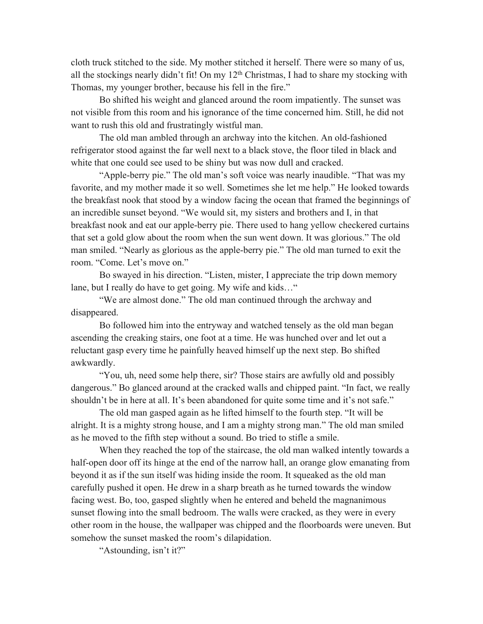cloth truck stitched to the side. My mother stitched it herself. There were so many of us, all the stockings nearly didn't fit! On my  $12<sup>th</sup>$  Christmas, I had to share my stocking with Thomas, my younger brother, because his fell in the fire."

 Bo shifted his weight and glanced around the room impatiently. The sunset was not visible from this room and his ignorance of the time concerned him. Still, he did not want to rush this old and frustratingly wistful man.

 The old man ambled through an archway into the kitchen. An old-fashioned refrigerator stood against the far well next to a black stove, the floor tiled in black and white that one could see used to be shiny but was now dull and cracked.

 "Apple-berry pie." The old man's soft voice was nearly inaudible. "That was my favorite, and my mother made it so well. Sometimes she let me help." He looked towards the breakfast nook that stood by a window facing the ocean that framed the beginnings of an incredible sunset beyond. "We would sit, my sisters and brothers and I, in that breakfast nook and eat our apple-berry pie. There used to hang yellow checkered curtains that set a gold glow about the room when the sun went down. It was glorious." The old man smiled. "Nearly as glorious as the apple-berry pie." The old man turned to exit the room. "Come. Let's move on."

 Bo swayed in his direction. "Listen, mister, I appreciate the trip down memory lane, but I really do have to get going. My wife and kids..."

 "We are almost done." The old man continued through the archway and disappeared.

 Bo followed him into the entryway and watched tensely as the old man began ascending the creaking stairs, one foot at a time. He was hunched over and let out a reluctant gasp every time he painfully heaved himself up the next step. Bo shifted awkwardly.

 "You, uh, need some help there, sir? Those stairs are awfully old and possibly dangerous." Bo glanced around at the cracked walls and chipped paint. "In fact, we really shouldn't be in here at all. It's been abandoned for quite some time and it's not safe."

 The old man gasped again as he lifted himself to the fourth step. "It will be alright. It is a mighty strong house, and I am a mighty strong man." The old man smiled as he moved to the fifth step without a sound. Bo tried to stifle a smile.

 When they reached the top of the staircase, the old man walked intently towards a half-open door off its hinge at the end of the narrow hall, an orange glow emanating from beyond it as if the sun itself was hiding inside the room. It squeaked as the old man carefully pushed it open. He drew in a sharp breath as he turned towards the window facing west. Bo, too, gasped slightly when he entered and beheld the magnanimous sunset flowing into the small bedroom. The walls were cracked, as they were in every other room in the house, the wallpaper was chipped and the floorboards were uneven. But somehow the sunset masked the room's dilapidation.

"Astounding, isn't it?"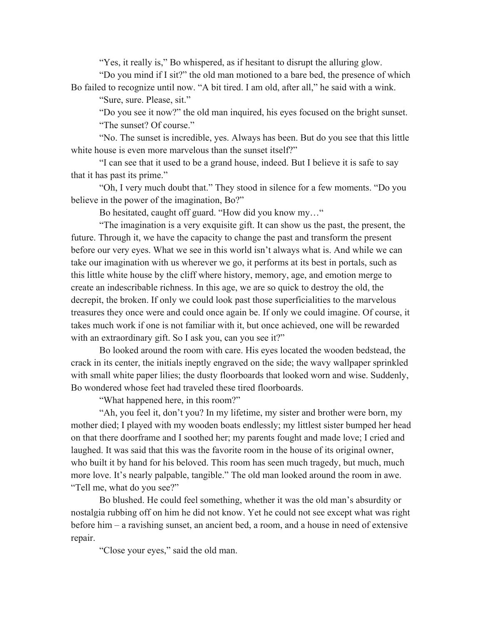"Yes, it really is," Bo whispered, as if hesitant to disrupt the alluring glow.

 "Do you mind if I sit?" the old man motioned to a bare bed, the presence of which Bo failed to recognize until now. "A bit tired. I am old, after all," he said with a wink.

"Sure, sure. Please, sit."

 "Do you see it now?" the old man inquired, his eyes focused on the bright sunset. "The sunset? Of course."

 "No. The sunset is incredible, yes. Always has been. But do you see that this little white house is even more marvelous than the sunset itself?"

 "I can see that it used to be a grand house, indeed. But I believe it is safe to say that it has past its prime."

 "Oh, I very much doubt that." They stood in silence for a few moments. "Do you believe in the power of the imagination, Bo?"

Bo hesitated, caught off guard. "How did you know my…"

 "The imagination is a very exquisite gift. It can show us the past, the present, the future. Through it, we have the capacity to change the past and transform the present before our very eyes. What we see in this world isn't always what is. And while we can take our imagination with us wherever we go, it performs at its best in portals, such as this little white house by the cliff where history, memory, age, and emotion merge to create an indescribable richness. In this age, we are so quick to destroy the old, the decrepit, the broken. If only we could look past those superficialities to the marvelous treasures they once were and could once again be. If only we could imagine. Of course, it takes much work if one is not familiar with it, but once achieved, one will be rewarded with an extraordinary gift. So I ask you, can you see it?"

 Bo looked around the room with care. His eyes located the wooden bedstead, the crack in its center, the initials ineptly engraved on the side; the wavy wallpaper sprinkled with small white paper lilies; the dusty floorboards that looked worn and wise. Suddenly, Bo wondered whose feet had traveled these tired floorboards.

"What happened here, in this room?"

 "Ah, you feel it, don't you? In my lifetime, my sister and brother were born, my mother died; I played with my wooden boats endlessly; my littlest sister bumped her head on that there doorframe and I soothed her; my parents fought and made love; I cried and laughed. It was said that this was the favorite room in the house of its original owner, who built it by hand for his beloved. This room has seen much tragedy, but much, much more love. It's nearly palpable, tangible." The old man looked around the room in awe. "Tell me, what do you see?"

 Bo blushed. He could feel something, whether it was the old man's absurdity or nostalgia rubbing off on him he did not know. Yet he could not see except what was right before him – a ravishing sunset, an ancient bed, a room, and a house in need of extensive repair.

"Close your eyes," said the old man.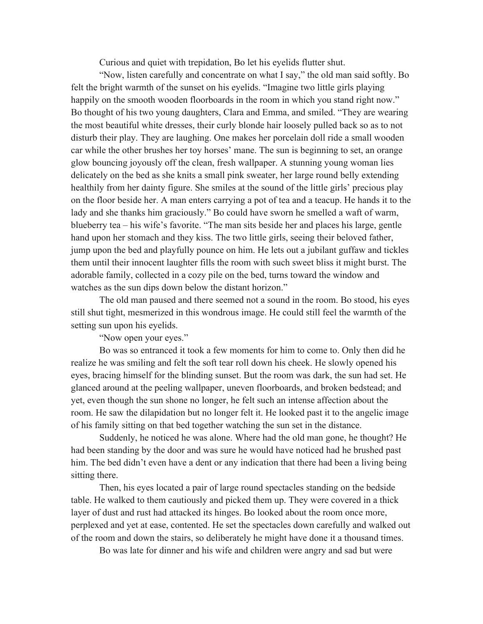Curious and quiet with trepidation, Bo let his eyelids flutter shut.

 "Now, listen carefully and concentrate on what I say," the old man said softly. Bo felt the bright warmth of the sunset on his eyelids. "Imagine two little girls playing happily on the smooth wooden floorboards in the room in which you stand right now." Bo thought of his two young daughters, Clara and Emma, and smiled. "They are wearing the most beautiful white dresses, their curly blonde hair loosely pulled back so as to not disturb their play. They are laughing. One makes her porcelain doll ride a small wooden car while the other brushes her toy horses' mane. The sun is beginning to set, an orange glow bouncing joyously off the clean, fresh wallpaper. A stunning young woman lies delicately on the bed as she knits a small pink sweater, her large round belly extending healthily from her dainty figure. She smiles at the sound of the little girls' precious play on the floor beside her. A man enters carrying a pot of tea and a teacup. He hands it to the lady and she thanks him graciously." Bo could have sworn he smelled a waft of warm, blueberry tea – his wife's favorite. "The man sits beside her and places his large, gentle hand upon her stomach and they kiss. The two little girls, seeing their beloved father, jump upon the bed and playfully pounce on him. He lets out a jubilant guffaw and tickles them until their innocent laughter fills the room with such sweet bliss it might burst. The adorable family, collected in a cozy pile on the bed, turns toward the window and watches as the sun dips down below the distant horizon."

 The old man paused and there seemed not a sound in the room. Bo stood, his eyes still shut tight, mesmerized in this wondrous image. He could still feel the warmth of the setting sun upon his eyelids.

"Now open your eyes."

 Bo was so entranced it took a few moments for him to come to. Only then did he realize he was smiling and felt the soft tear roll down his cheek. He slowly opened his eyes, bracing himself for the blinding sunset. But the room was dark, the sun had set. He glanced around at the peeling wallpaper, uneven floorboards, and broken bedstead; and yet, even though the sun shone no longer, he felt such an intense affection about the room. He saw the dilapidation but no longer felt it. He looked past it to the angelic image of his family sitting on that bed together watching the sun set in the distance.

 Suddenly, he noticed he was alone. Where had the old man gone, he thought? He had been standing by the door and was sure he would have noticed had he brushed past him. The bed didn't even have a dent or any indication that there had been a living being sitting there.

 Then, his eyes located a pair of large round spectacles standing on the bedside table. He walked to them cautiously and picked them up. They were covered in a thick layer of dust and rust had attacked its hinges. Bo looked about the room once more, perplexed and yet at ease, contented. He set the spectacles down carefully and walked out of the room and down the stairs, so deliberately he might have done it a thousand times.

Bo was late for dinner and his wife and children were angry and sad but were